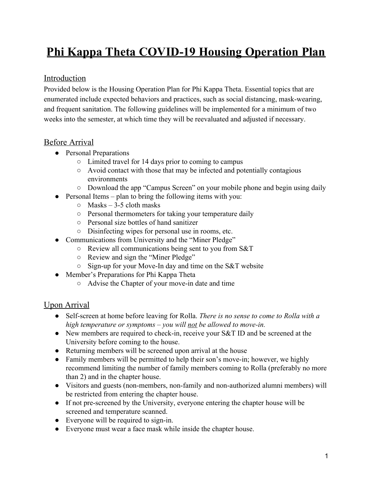# **Phi Kappa Theta COVID-19 Housing Operation Plan**

## Introduction

Provided below is the Housing Operation Plan for Phi Kappa Theta. Essential topics that are enumerated include expected behaviors and practices, such as social distancing, mask-wearing, and frequent sanitation. The following guidelines will be implemented for a minimum of two weeks into the semester, at which time they will be reevaluated and adjusted if necessary.

## Before Arrival

- Personal Preparations
	- Limited travel for 14 days prior to coming to campus
	- Avoid contact with those that may be infected and potentially contagious environments
	- Download the app "Campus Screen" on your mobile phone and begin using daily
- Personal Items plan to bring the following items with you:
	- $\circ$  Masks 3-5 cloth masks
	- Personal thermometers for taking your temperature daily
	- Personal size bottles of hand sanitizer
	- Disinfecting wipes for personal use in rooms, etc.
- Communications from University and the "Miner Pledge"
	- Review all communications being sent to you from S&T
	- Review and sign the "Miner Pledge"
	- Sign-up for your Move-In day and time on the S&T website
- Member's Preparations for Phi Kappa Theta
	- Advise the Chapter of your move-in date and time

#### Upon Arrival

- Self-screen at home before leaving for Rolla. *There is no sense to come to Rolla with a high temperature or symptoms – you will not be allowed to move-in.*
- New members are required to check-in, receive your S&T ID and be screened at the University before coming to the house.
- Returning members will be screened upon arrival at the house
- Family members will be permitted to help their son's move-in; however, we highly recommend limiting the number of family members coming to Rolla (preferably no more than 2) and in the chapter house.
- Visitors and guests (non-members, non-family and non-authorized alumni members) will be restricted from entering the chapter house.
- If not pre-screened by the University, everyone entering the chapter house will be screened and temperature scanned.
- Everyone will be required to sign-in.
- Everyone must wear a face mask while inside the chapter house.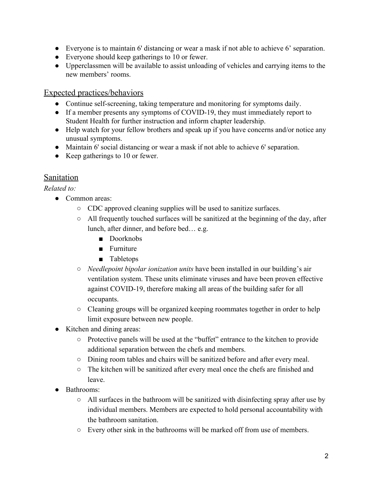- Everyone is to maintain 6' distancing or wear a mask if not able to achieve 6' separation.
- Everyone should keep gatherings to 10 or fewer.
- Upperclassmen will be available to assist unloading of vehicles and carrying items to the new members' rooms.

#### Expected practices/behaviors

- Continue self-screening, taking temperature and monitoring for symptoms daily.
- If a member presents any symptoms of COVID-19, they must immediately report to Student Health for further instruction and inform chapter leadership.
- Help watch for your fellow brothers and speak up if you have concerns and/or notice any unusual symptoms.
- Maintain 6' social distancing or wear a mask if not able to achieve 6' separation.
- Keep gatherings to 10 or fewer.

#### Sanitation

*Related to:*

- Common areas:
	- CDC approved cleaning supplies will be used to sanitize surfaces.
	- All frequently touched surfaces will be sanitized at the beginning of the day, after lunch, after dinner, and before bed… e.g.
		- Doorknobs
		- Furniture
		- Tabletops
	- *○ Needlepoint bipolar ionization units* have been installed in our building's air ventilation system. These units eliminate viruses and have been proven effective against COVID-19, therefore making all areas of the building safer for all occupants.
	- Cleaning groups will be organized keeping roommates together in order to help limit exposure between new people.
- Kitchen and dining areas:
	- Protective panels will be used at the "buffet" entrance to the kitchen to provide additional separation between the chefs and members.
	- Dining room tables and chairs will be sanitized before and after every meal.
	- The kitchen will be sanitized after every meal once the chefs are finished and leave.
- Bathrooms:
	- $\circ$  All surfaces in the bathroom will be sanitized with disinfecting spray after use by individual members. Members are expected to hold personal accountability with the bathroom sanitation.
	- $\circ$  Every other sink in the bathrooms will be marked off from use of members.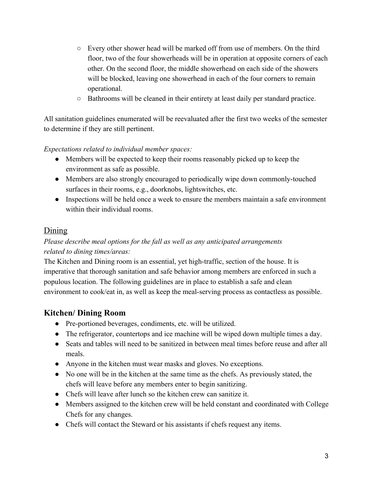- Every other shower head will be marked off from use of members. On the third floor, two of the four showerheads will be in operation at opposite corners of each other. On the second floor, the middle showerhead on each side of the showers will be blocked, leaving one showerhead in each of the four corners to remain operational.
- Bathrooms will be cleaned in their entirety at least daily per standard practice.

All sanitation guidelines enumerated will be reevaluated after the first two weeks of the semester to determine if they are still pertinent.

#### *Expectations related to individual member spaces:*

- Members will be expected to keep their rooms reasonably picked up to keep the environment as safe as possible.
- Members are also strongly encouraged to periodically wipe down commonly-touched surfaces in their rooms, e.g., doorknobs, lightswitches, etc.
- Inspections will be held once a week to ensure the members maintain a safe environment within their individual rooms.

## Dining

#### *Please describe meal options for the fall as well as any anticipated arrangements related to dining times/areas:*

The Kitchen and Dining room is an essential, yet high-traffic, section of the house. It is imperative that thorough sanitation and safe behavior among members are enforced in such a populous location. The following guidelines are in place to establish a safe and clean environment to cook/eat in, as well as keep the meal-serving process as contactless as possible.

## **Kitchen/ Dining Room**

- Pre-portioned beverages, condiments, etc. will be utilized.
- The refrigerator, countertops and ice machine will be wiped down multiple times a day.
- Seats and tables will need to be sanitized in between meal times before reuse and after all meals.
- Anyone in the kitchen must wear masks and gloves. No exceptions.
- No one will be in the kitchen at the same time as the chefs. As previously stated, the chefs will leave before any members enter to begin sanitizing.
- Chefs will leave after lunch so the kitchen crew can sanitize it.
- Members assigned to the kitchen crew will be held constant and coordinated with College Chefs for any changes.
- Chefs will contact the Steward or his assistants if chefs request any items.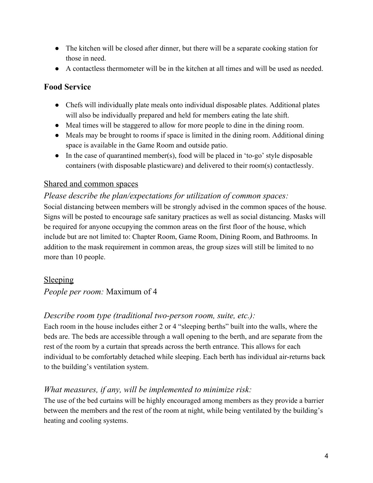- The kitchen will be closed after dinner, but there will be a separate cooking station for those in need.
- A contactless thermometer will be in the kitchen at all times and will be used as needed.

## **Food Service**

- Chefs will individually plate meals onto individual disposable plates. Additional plates will also be individually prepared and held for members eating the late shift.
- Meal times will be staggered to allow for more people to dine in the dining room.
- Meals may be brought to rooms if space is limited in the dining room. Additional dining space is available in the Game Room and outside patio.
- $\bullet$  In the case of quarantined member(s), food will be placed in 'to-go' style disposable containers (with disposable plasticware) and delivered to their room(s) contactlessly.

#### Shared and common spaces

#### *Please describe the plan/expectations for utilization of common spaces:*

Social distancing between members will be strongly advised in the common spaces of the house. Signs will be posted to encourage safe sanitary practices as well as social distancing. Masks will be required for anyone occupying the common areas on the first floor of the house, which include but are not limited to: Chapter Room, Game Room, Dining Room, and Bathrooms. In addition to the mask requirement in common areas, the group sizes will still be limited to no more than 10 people.

#### Sleeping

*People per room:* Maximum of 4

#### *Describe room type (traditional two-person room, suite, etc.):*

Each room in the house includes either 2 or 4 "sleeping berths" built into the walls, where the beds are. The beds are accessible through a wall opening to the berth, and are separate from the rest of the room by a curtain that spreads across the berth entrance. This allows for each individual to be comfortably detached while sleeping. Each berth has individual air-returns back to the building's ventilation system.

## *What measures, if any, will be implemented to minimize risk:*

The use of the bed curtains will be highly encouraged among members as they provide a barrier between the members and the rest of the room at night, while being ventilated by the building's heating and cooling systems.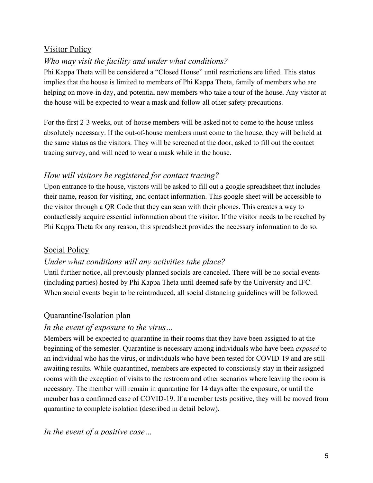## Visitor Policy

## *Who may visit the facility and under what conditions?*

Phi Kappa Theta will be considered a "Closed House" until restrictions are lifted. This status implies that the house is limited to members of Phi Kappa Theta, family of members who are helping on move-in day, and potential new members who take a tour of the house. Any visitor at the house will be expected to wear a mask and follow all other safety precautions.

For the first 2-3 weeks, out-of-house members will be asked not to come to the house unless absolutely necessary. If the out-of-house members must come to the house, they will be held at the same status as the visitors. They will be screened at the door, asked to fill out the contact tracing survey, and will need to wear a mask while in the house.

## *How will visitors be registered for contact tracing?*

Upon entrance to the house, visitors will be asked to fill out a google spreadsheet that includes their name, reason for visiting, and contact information. This google sheet will be accessible to the visitor through a QR Code that they can scan with their phones. This creates a way to contactlessly acquire essential information about the visitor. If the visitor needs to be reached by Phi Kappa Theta for any reason, this spreadsheet provides the necessary information to do so.

#### Social Policy

#### *Under what conditions will any activities take place?*

Until further notice, all previously planned socials are canceled. There will be no social events (including parties) hosted by Phi Kappa Theta until deemed safe by the University and IFC. When social events begin to be reintroduced, all social distancing guidelines will be followed.

#### Quarantine/Isolation plan

#### *In the event of exposure to the virus…*

Members will be expected to quarantine in their rooms that they have been assigned to at the beginning of the semester. Quarantine is necessary among individuals who have been *exposed* to an individual who has the virus, or individuals who have been tested for COVID-19 and are still awaiting results. While quarantined, members are expected to consciously stay in their assigned rooms with the exception of visits to the restroom and other scenarios where leaving the room is necessary. The member will remain in quarantine for 14 days after the exposure, or until the member has a confirmed case of COVID-19. If a member tests positive, they will be moved from quarantine to complete isolation (described in detail below).

*In the event of a positive case…*